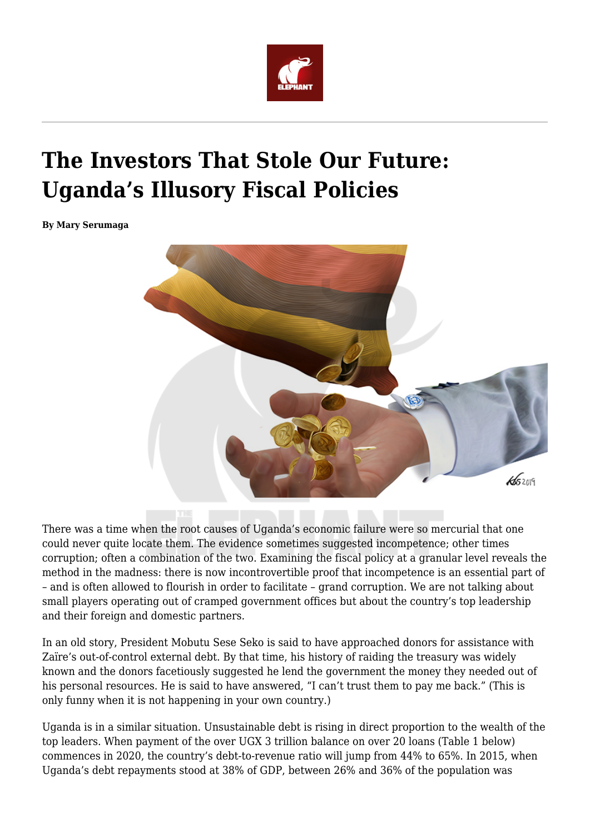

# **The Investors That Stole Our Future: Uganda's Illusory Fiscal Policies**

**By Mary Serumaga**



There was a time when the root causes of Uganda's economic failure were so mercurial that one could never quite locate them. The evidence sometimes suggested incompetence; other times corruption; often a combination of the two. Examining the fiscal policy at a granular level reveals the method in the madness: there is now incontrovertible proof that incompetence is an essential part of – and is often allowed to flourish in order to facilitate – grand corruption. We are not talking about small players operating out of cramped government offices but about the country's top leadership and their foreign and domestic partners.

In an old story, President Mobutu Sese Seko is said to have approached donors for assistance with Zaïre's out-of-control external debt. By that time, his history of raiding the treasury was widely known and the donors facetiously suggested he lend the government the money they needed out of his personal resources. He is said to have answered, "I can't trust them to pay me back." (This is only funny when it is not happening in your own country.)

Uganda is in a similar situation. Unsustainable debt is rising in direct proportion to the wealth of the top leaders. When payment of the over UGX 3 trillion balance on over 20 loans (Table 1 below) commences in 2020, the country's debt-to-revenue ratio will jump from 44% to 65%. In 2015, when Uganda's debt repayments stood at 38% of GDP, between 26% and 36% of the population was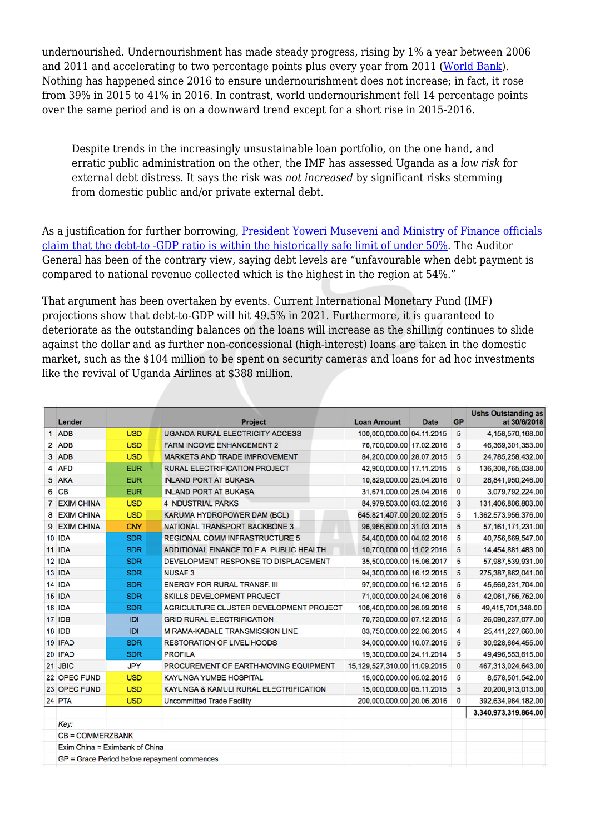undernourished. Undernourishment has made steady progress, rising by 1% a year between 2006 and 2011 and accelerating to two percentage points plus every year from 2011 ([World Bank\)](https://data.worldbank.org/indicator/SN.ITK.DEFC.ZS?locations=UG&view=chart). Nothing has happened since 2016 to ensure undernourishment does not increase; in fact, it rose from 39% in 2015 to 41% in 2016. In contrast, world undernourishment fell 14 percentage points over the same period and is on a downward trend except for a short rise in 2015-2016.

Despite trends in the increasingly unsustainable loan portfolio, on the one hand, and erratic public administration on the other, the IMF has assessed Uganda as a *low risk* for external debt distress. It says the risk was *not increased* by significant risks stemming from domestic public and/or private external debt.

As a justification for further borrowing, [President Yoweri Museveni and Ministry of Finance officials](https://www.monitor.co.ug/News/National/Uganda-public-debt-still-sustainable-matia-Kasaija/688334-4926096-r1k5odz/index.html) [claim that the debt-to -GDP ratio is within the historically safe limit of under 50%.](https://www.monitor.co.ug/News/National/Uganda-public-debt-still-sustainable-matia-Kasaija/688334-4926096-r1k5odz/index.html) The Auditor General has been of the contrary view, saying debt levels are "unfavourable when debt payment is compared to national revenue collected which is the highest in the region at 54%."

That argument has been overtaken by events. Current International Monetary Fund (IMF) projections show that debt-to-GDP will hit 49.5% in 2021. Furthermore, it is guaranteed to deteriorate as the outstanding balances on the loans will increase as the shilling continues to slide against the dollar and as further non-concessional (high-interest) loans are taken in the domestic market, such as the \$104 million to be spent on security cameras and loans for ad hoc investments like the revival of Uganda Airlines at \$388 million.

|   | Lender                         |            | <b>Project</b>                               | <b>Loan Amount</b>           | <b>Date</b> | <b>GP</b>    | <b>Ushs Outstanding as</b><br>at 30/6/2018 |
|---|--------------------------------|------------|----------------------------------------------|------------------------------|-------------|--------------|--------------------------------------------|
|   | 1 ADB                          | <b>USD</b> | <b>UGANDA RURAL ELECTRICITY ACCESS</b>       | 100,000,000.00 04.11.2015    |             | 5            | 4,158,570,168.00                           |
|   | 2 ADB                          | <b>USD</b> | <b>FARM INCOME ENHANCEMENT 2</b>             | 76,700,000.00 17.02.2016     |             | 5            | 46,369,301,353.00                          |
|   | 3 ADB                          | <b>USD</b> | <b>MARKETS AND TRADE IMPROVEMENT</b>         | 84,200,000.00 28.07.2015     |             | 5            | 24,785,258,432.00                          |
|   | 4 AFD                          | <b>EUR</b> | RURAL ELECTRIFICATION PROJECT                | 42,900,000.00 17.11.2015     |             | 5            | 136,308,765,038.00                         |
| 5 | AKA                            | <b>EUR</b> | <b>INLAND PORT AT BUKASA</b>                 | 10,829,000.00 25.04.2016     |             | $\mathbf{0}$ | 28,841,950,246.00                          |
|   | 6 CB                           | <b>EUR</b> | <b>INLAND PORT AT BUKASA</b>                 | 31,671,000.00 25.04.2016     |             | $\mathbf{0}$ | 3.079.792.224.00                           |
| 7 | <b>EXIM CHINA</b>              | <b>USD</b> | <b>4 INDUSTRIAL PARKS</b>                    | 84,979,503.00 03.02.2016     |             | 3            | 131,406,806,803.00                         |
| 8 | <b>EXIM CHINA</b>              | <b>USD</b> | KARUMA HYDROPOWER DAM (BCL)                  | 645, 821, 407.00 20.02.2015  |             | 5            | 1,362,573,956,376.00                       |
| 9 | <b>EXIM CHINA</b>              | <b>CNY</b> | NATIONAL TRANSPORT BACKBONE 3                | 96,966,600.00 31.03.2015     |             | 5            | 57, 161, 171, 231.00                       |
|   | <b>10 IDA</b>                  | <b>SDR</b> | <b>REGIONAL COMM INFRASTRUCTURE 5</b>        | 54,400,000.00 04.02.2016     |             | 5            | 40,756,669,547.00                          |
|   | 11 IDA                         | <b>SDR</b> | ADDITIONAL FINANCE TO E.A. PUBLIC HEALTH     | 10,700,000.00 11.02.2016     |             | 5            | 14,454,881,483.00                          |
|   | 12 IDA                         | <b>SDR</b> | DEVELOPMENT RESPONSE TO DISPLACEMENT         | 35,500,000.00 15.06.2017     |             | 5            | 57,987,539,931.00                          |
|   | 13 IDA                         | <b>SDR</b> | <b>NUSAF3</b>                                | 94,300,000.00 16.12.2015     |             | 5            | 275,387,862,041.00                         |
|   | 14 IDA                         | <b>SDR</b> | <b>ENERGY FOR RURAL TRANSF. III</b>          | 97,900,000.00 16.12.2015     |             | 5            | 45,569,231,704.00                          |
|   | 15 IDA                         | <b>SDR</b> | <b>SKILLS DEVELOPMENT PROJECT</b>            | 71,000,000.00 24.06.2016     |             | 5            | 42,061,755,752.00                          |
|   | 16 IDA                         | <b>SDR</b> | AGRICULTURE CLUSTER DEVELOPMENT PROJECT      | 106,400,000.00 26.09.2016    |             | 5            | 49,415,701,348.00                          |
|   | <b>17 IDB</b>                  | IDI        | <b>GRID RURAL ELECTRIFICATION</b>            | 70,730,000.00 07.12.2015     |             | 5            | 26,090,237,077.00                          |
|   | <b>18 IDB</b>                  | IDI        | MIRAMA-KABALE TRANSMISSION LINE              | 83,750,000.00 22.06.2015     |             | 4            | 25,411,227,660.00                          |
|   | 19 IFAD                        | <b>SDR</b> | <b>RESTORATION OF LIVELIHOODS</b>            | 34,000,000.00 10.07.2015     |             | 5            | 30,928,664,455.00                          |
|   | 20 IFAD                        | <b>SDR</b> | <b>PROFILA</b>                               | 19.300.000.00 24.11.2014     |             | 5            | 49,496,553,615.00                          |
|   | 21 JBIC                        | <b>JPY</b> | PROCUREMENT OF EARTH-MOVING EQUIPMENT        | 15,129,527,310.00 11.09.2015 |             | $\mathbf{0}$ | 467,313,024,643.00                         |
|   | 22 OPEC FUND                   | <b>USD</b> | KAYUNGA YUMBE HOSPITAL                       | 15,000,000.00 05.02.2015     |             | 5            | 8,578,501,542.00                           |
|   | 23 OPEC FUND                   | <b>USD</b> | KAYUNGA & KAMULI RURAL ELECTRIFICATION       | 15,000,000.00 05.11.2015     |             | 5            | 20,200,913,013.00                          |
|   | 24 PTA                         | <b>USD</b> | <b>Uncommitted Trade Facility</b>            | 200,000,000.00 20.06.2016    |             | $\mathbf 0$  | 392,634,984,182.00                         |
|   |                                |            |                                              |                              |             |              | 3,340,973,319,864.00                       |
|   | Key:                           |            |                                              |                              |             |              |                                            |
|   | <b>CB = COMMERZBANK</b>        |            |                                              |                              |             |              |                                            |
|   | Exim China = Eximbank of China |            |                                              |                              |             |              |                                            |
|   |                                |            | GP = Grace Period before repayment commences |                              |             |              |                                            |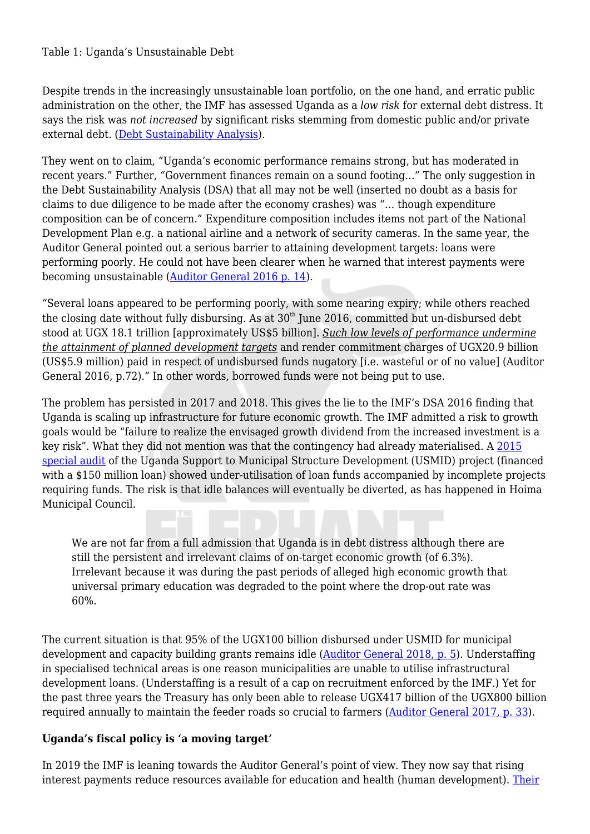#### Table 1: Uganda's Unsustainable Debt

Despite trends in the increasingly unsustainable loan portfolio, on the one hand, and erratic public administration on the other, the IMF has assessed Uganda as a *low risk* for external debt distress. It says the risk was *not increased* by significant risks stemming from domestic public and/or private external debt. ([Debt Sustainability Analysis\)](https://www.imf.org/external/pubs/ft/dsa/pdf/2017/dsacr1707.pdf).

They went on to claim, "Uganda's economic performance remains strong, but has moderated in recent years." Further, "Government finances remain on a sound footing…" The only suggestion in the Debt Sustainability Analysis (DSA) that all may not be well (inserted no doubt as a basis for claims to due diligence to be made after the economy crashes) was "… though expenditure composition can be of concern." Expenditure composition includes items not part of the National Development Plan e.g. a national airline and a network of security cameras. In the same year, the Auditor General pointed out a serious barrier to attaining development targets: loans were performing poorly. He could not have been clearer when he warned that interest payments were becoming unsustainable ([Auditor General 2016 p. 14\)](http://www.oag.go.ug/wp-content/uploads/2017/01/Annual-OAG-Performance-Report-2016.pdf).

"Several loans appeared to be performing poorly, with some nearing expiry; while others reached the closing date without fully disbursing. As at  $30<sup>th</sup>$  June 2016, committed but un-disbursed debt stood at UGX 18.1 trillion [approximately US\$5 billion]. *Such low levels of performance undermine the attainment of planned development targets* and render commitment charges of UGX20.9 billion (US\$5.9 million) paid in respect of undisbursed funds nugatory [i.e. wasteful or of no value] (Auditor General 2016, p.72)." In other words, borrowed funds were not being put to use.

The problem has persisted in 2017 and 2018. This gives the lie to the IMF's DSA 2016 finding that Uganda is scaling up infrastructure for future economic growth. The IMF admitted a risk to growth goals would be "failure to realize the envisaged growth dividend from the increased investment is a key risk". What they did not mention was that the contingency had already materialised. A [2015](http://www.oag.go.ug/wp-content/uploads/2016/03/UGANDA-SUPPORT-TO-MUNICIPAL-INFRASTRUCTURE-DEVELOPMENT-PROGRAM-USMID-PROJECT-MoLHUD-REPOTR-OF-THE-AUDITOR-GENERAL-2015.pdf) [special audit](http://www.oag.go.ug/wp-content/uploads/2016/03/UGANDA-SUPPORT-TO-MUNICIPAL-INFRASTRUCTURE-DEVELOPMENT-PROGRAM-USMID-PROJECT-MoLHUD-REPOTR-OF-THE-AUDITOR-GENERAL-2015.pdf) of the Uganda Support to Municipal Structure Development (USMID) project (financed with a \$150 million loan) showed under-utilisation of loan funds accompanied by incomplete projects requiring funds. The risk is that idle balances will eventually be diverted, as has happened in Hoima Municipal Council.

We are not far from a full admission that Uganda is in debt distress although there are still the persistent and irrelevant claims of on-target economic growth (of 6.3%). Irrelevant because it was during the past periods of alleged high economic growth that universal primary education was degraded to the point where the drop-out rate was 60%.

The current situation is that 95% of the UGX100 billion disbursed under USMID for municipal development and capacity building grants remains idle [\(Auditor General 2018, p. 5](http://www.oag.go.ug/wp-content/uploads/2019/01/Report-of-the-Auditor-General-to-Parliament-for-the-FY-ended-30-June-2018.pdf)). Understaffing in specialised technical areas is one reason municipalities are unable to utilise infrastructural development loans. (Understaffing is a result of a cap on recruitment enforced by the IMF.) Yet for the past three years the Treasury has only been able to release UGX417 billion of the UGX800 billion required annually to maintain the feeder roads so crucial to farmers ([Auditor General 2017, p. 33](http://www.oag.go.ug/wp-content/uploads/2018/01/Extracts-of-Key-Findings-of-the-Auditor-Generals-Report_2017.pdf)).

## **Uganda's fiscal policy is 'a moving target'**

In 2019 the IMF is leaning towards the Auditor General's point of view. They now say that rising interest payments reduce resources available for education and health (human development). [Their](https://www.imf.org/en/News/Articles/2019/05/08/na-0508-ugandas-economic-outlook-in-six-charts)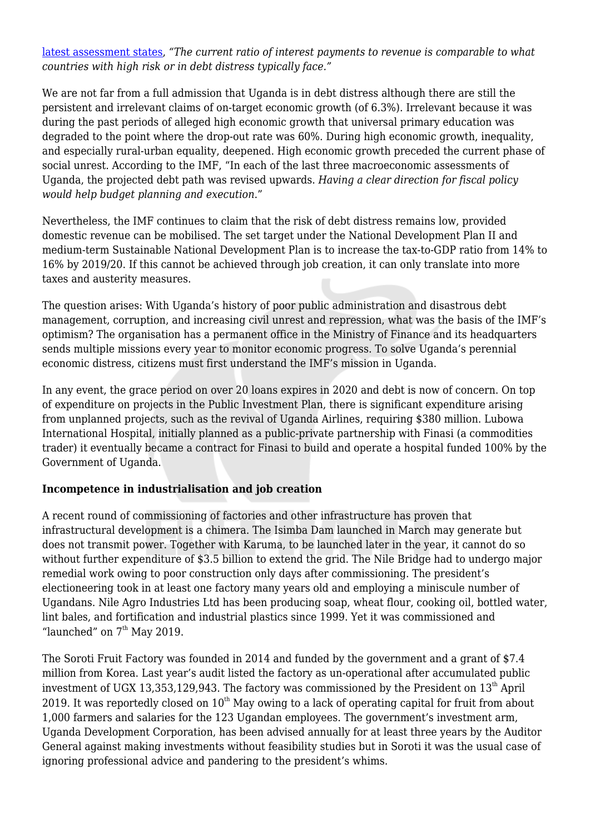[latest assessment states](https://www.imf.org/en/News/Articles/2019/05/08/na-0508-ugandas-economic-outlook-in-six-charts), *"The current ratio of interest payments to revenue is comparable to what countries with high risk or in debt distress typically face."*

We are not far from a full admission that Uganda is in debt distress although there are still the persistent and irrelevant claims of on-target economic growth (of 6.3%). Irrelevant because it was during the past periods of alleged high economic growth that universal primary education was degraded to the point where the drop-out rate was 60%. During high economic growth, inequality, and especially rural-urban equality, deepened. High economic growth preceded the current phase of social unrest. According to the IMF, "In each of the last three macroeconomic assessments of Uganda, the projected debt path was revised upwards. *Having a clear direction for fiscal policy would help budget planning and execution*."

Nevertheless, the IMF continues to claim that the risk of debt distress remains low, provided domestic revenue can be mobilised. The set target under the National Development Plan II and medium-term Sustainable National Development Plan is to increase the tax-to-GDP ratio from 14% to 16% by 2019/20. If this cannot be achieved through job creation, it can only translate into more taxes and austerity measures.

The question arises: With Uganda's history of poor public administration and disastrous debt management, corruption, and increasing civil unrest and repression, what was the basis of the IMF's optimism? The organisation has a permanent office in the Ministry of Finance and its headquarters sends multiple missions every year to monitor economic progress. To solve Uganda's perennial economic distress, citizens must first understand the IMF's mission in Uganda.

In any event, the grace period on over 20 loans expires in 2020 and debt is now of concern. On top of expenditure on projects in the Public Investment Plan, there is significant expenditure arising from unplanned projects, such as the revival of Uganda Airlines, requiring \$380 million. Lubowa International Hospital, initially planned as a public-private partnership with Finasi (a commodities trader) it eventually became a contract for Finasi to build and operate a hospital funded 100% by the Government of Uganda.

## **Incompetence in industrialisation and job creation**

A recent round of commissioning of factories and other infrastructure has proven that infrastructural development is a chimera. The Isimba Dam launched in March may generate but does not transmit power. Together with Karuma, to be launched later in the year, it cannot do so without further expenditure of \$3.5 billion to extend the grid. The Nile Bridge had to undergo major remedial work owing to poor construction only days after commissioning. The president's electioneering took in at least one factory many years old and employing a miniscule number of Ugandans. Nile Agro Industries Ltd has been producing soap, wheat flour, cooking oil, bottled water, lint bales, and fortification and industrial plastics since 1999. Yet it was commissioned and "launched" on  $7<sup>th</sup>$  May 2019.

The Soroti Fruit Factory was founded in 2014 and funded by the government and a grant of \$7.4 million from Korea. Last year's audit listed the factory as un-operational after accumulated public investment of UGX 13,353,129,943. The factory was commissioned by the President on  $13<sup>th</sup>$  April 2019. It was reportedly closed on  $10<sup>th</sup>$  May owing to a lack of operating capital for fruit from about 1,000 farmers and salaries for the 123 Ugandan employees. The government's investment arm, Uganda Development Corporation, has been advised annually for at least three years by the Auditor General against making investments without feasibility studies but in Soroti it was the usual case of ignoring professional advice and pandering to the president's whims.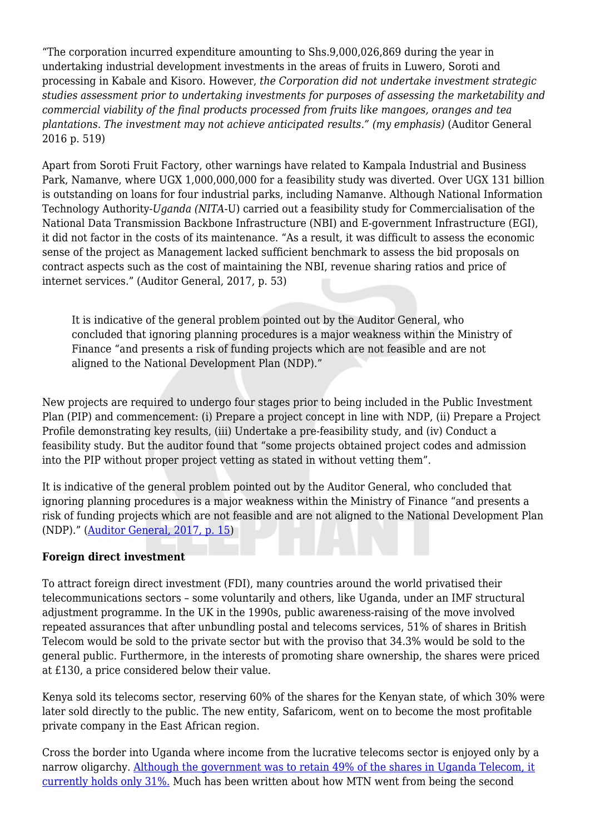"The corporation incurred expenditure amounting to Shs.9,000,026,869 during the year in undertaking industrial development investments in the areas of fruits in Luwero, Soroti and processing in Kabale and Kisoro. However, *the Corporation did not undertake investment strategic studies assessment prior to undertaking investments for purposes of assessing the marketability and commercial viability of the final products processed from fruits like mangoes, oranges and tea plantations*. *The investment may not achieve anticipated results." (my emphasis)* (Auditor General 2016 p. 519)

Apart from Soroti Fruit Factory, other warnings have related to Kampala Industrial and Business Park, Namanve, where UGX 1,000,000,000 for a feasibility study was diverted. Over UGX 131 billion is outstanding on loans for four industrial parks, including Namanve. Although National Information Technology Authority-*Uganda (NITA*-U) carried out a feasibility study for Commercialisation of the National Data Transmission Backbone Infrastructure (NBI) and E-government Infrastructure (EGI), it did not factor in the costs of its maintenance. "As a result, it was difficult to assess the economic sense of the project as Management lacked sufficient benchmark to assess the bid proposals on contract aspects such as the cost of maintaining the NBI, revenue sharing ratios and price of internet services." (Auditor General, 2017, p. 53)

It is indicative of the general problem pointed out by the Auditor General, who concluded that ignoring planning procedures is a major weakness within the Ministry of Finance "and presents a risk of funding projects which are not feasible and are not aligned to the National Development Plan (NDP)."

New projects are required to undergo four stages prior to being included in the Public Investment Plan (PIP) and commencement: (i) Prepare a project concept in line with NDP, (ii) Prepare a Project Profile demonstrating key results, (iii) Undertake a pre-feasibility study, and (iv) Conduct a feasibility study. But the auditor found that "some projects obtained project codes and admission into the PIP without proper project vetting as stated in without vetting them".

It is indicative of the general problem pointed out by the Auditor General, who concluded that ignoring planning procedures is a major weakness within the Ministry of Finance "and presents a risk of funding projects which are not feasible and are not aligned to the National Development Plan (NDP)." ([Auditor General, 2017, p. 15](http://www.oag.go.ug/wp-content/uploads/2018/01/Annual-Report-of-the-Auditor-General-FY-2017.pdf))

#### **Foreign direct investment**

To attract foreign direct investment (FDI), many countries around the world privatised their telecommunications sectors – some voluntarily and others, like Uganda, under an IMF structural adjustment programme. In the UK in the 1990s, public awareness-raising of the move involved repeated assurances that after unbundling postal and telecoms services, 51% of shares in British Telecom would be sold to the private sector but with the proviso that 34.3% would be sold to the general public. Furthermore, in the interests of promoting share ownership, the shares were priced at £130, a price considered below their value.

Kenya sold its telecoms sector, reserving 60% of the shares for the Kenyan state, of which 30% were later sold directly to the public. The new entity, Safaricom, went on to become the most profitable private company in the East African region.

Cross the border into Uganda where income from the lucrative telecoms sector is enjoyed only by a narrow oligarchy. [Although the government was to retain 49% of the shares in Uganda Telecom, it](https://www.apc.org/sites/default/files/CICEWAUganda_20090908_0.pdf) [currently holds only 31%.](https://www.apc.org/sites/default/files/CICEWAUganda_20090908_0.pdf) Much has been written about how MTN went from being the second